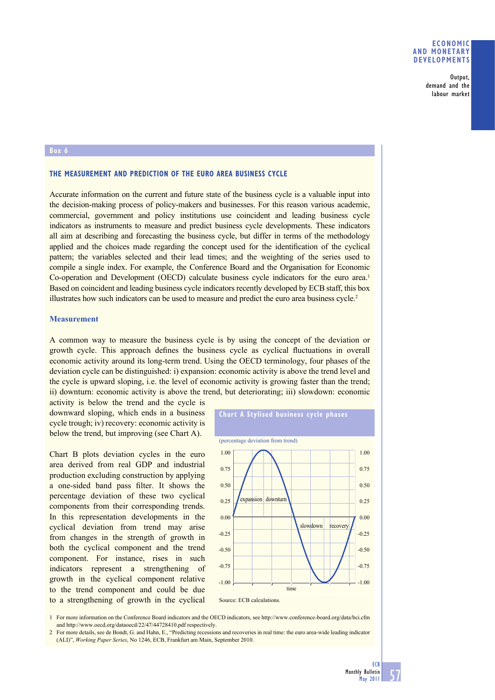# **ECONOMIC AND MONETARY DEVELOPMENTS**

Output, demand and the labour market

#### **Box 6**

# **THE MEASUREMENT AND PREDICTION OF THE EURO AREA BUSINESS CYCLE**

Accurate information on the current and future state of the business cycle is a valuable input into the decision-making process of policy-makers and businesses. For this reason various academic, commercial, government and policy institutions use coincident and leading business cycle indicators as instruments to measure and predict business cycle developments. These indicators all aim at describing and forecasting the business cycle, but differ in terms of the methodology applied and the choices made regarding the concept used for the identification of the cyclical pattern; the variables selected and their lead times; and the weighting of the series used to compile a single index. For example, the Conference Board and the Organisation for Economic Co-operation and Development (OECD) calculate business cycle indicators for the euro area.<sup>1</sup> Based on coincident and leading business cycle indicators recently developed by ECB staff, this box illustrates how such indicators can be used to measure and predict the euro area business cycle.2

### **Measurement**

A common way to measure the business cycle is by using the concept of the deviation or growth cycle. This approach defines the business cycle as cyclical fluctuations in overall economic activity around its long-term trend. Using the OECD terminology, four phases of the deviation cycle can be distinguished: i) expansion: economic activity is above the trend level and the cycle is upward sloping, i.e. the level of economic activity is growing faster than the trend; ii) downturn: economic activity is above the trend, but deteriorating; iii) slowdown: economic

activity is below the trend and the cycle is downward sloping, which ends in a business cycle trough; iv) recovery: economic activity is below the trend, but improving (see Chart A).

Chart B plots deviation cycles in the euro area derived from real GDP and industrial production excluding construction by applying a one-sided band pass filter. It shows the percentage deviation of these two cyclical components from their corresponding trends. In this representation developments in the cyclical deviation from trend may arise from changes in the strength of growth in both the cyclical component and the trend component. For instance, rises in such indicators represent a strengthening of growth in the cyclical component relative to the trend component and could be due to a strengthening of growth in the cyclical



1 For more information on the Conference Board indicators and the OECD indicators, see http://www.conference-board.org/data/bci.cfm and http://www.oecd.org/dataoecd/22/47/44728410.pdf respectively.

2 For more details, see de Bondt, G. and Hahn, E., "Predicting recessions and recoveries in real time: the euro area-wide leading indicator (ALI)", *Working Paper Series*, No 1246, ECB, Frankfurt am Main, September 2010.

57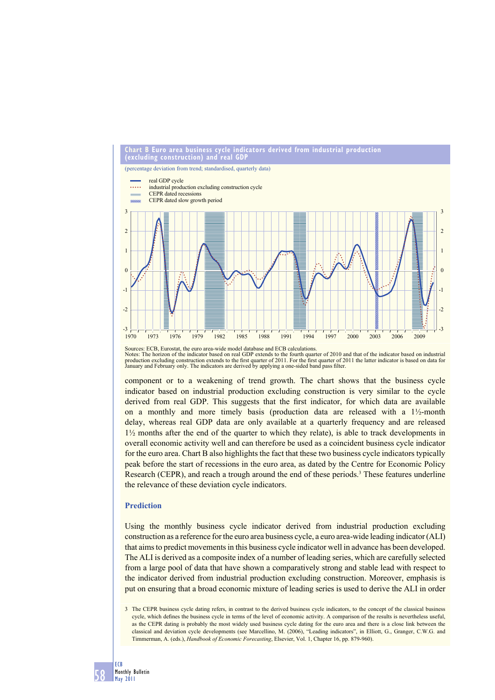

Notes: The horizon of the indicator based on real GDP extends to the fourth quarter of 2010 and that of the indicator based on industrial<br>production excluding construction extends to the first quarter of 2011. For the firs

component or to a weakening of trend growth. The chart shows that the business cycle indicator based on industrial production excluding construction is very similar to the cycle derived from real GDP. This suggests that the first indicator, for which data are available on a monthly and more timely basis (production data are released with a  $1\frac{1}{2}$ -month delay, whereas real GDP data are only available at a quarterly frequency and are released 1½ months after the end of the quarter to which they relate), is able to track developments in overall economic activity well and can therefore be used as a coincident business cycle indicator for the euro area. Chart B also highlights the fact that these two business cycle indicators typically peak before the start of recessions in the euro area, as dated by the Centre for Economic Policy Research (CEPR), and reach a trough around the end of these periods.<sup>3</sup> These features underline the relevance of these deviation cycle indicators.

## **Prediction**

Using the monthly business cycle indicator derived from industrial production excluding construction as a reference for the euro area business cycle, a euro area-wide leading indicator (ALI) that aims to predict movements in this business cycle indicator well in advance has been developed. The ALI is derived as a composite index of a number of leading series, which are carefully selected from a large pool of data that have shown a comparatively strong and stable lead with respect to the indicator derived from industrial production excluding construction. Moreover, emphasis is put on ensuring that a broad economic mixture of leading series is used to derive the ALI in order

<sup>3</sup> The CEPR business cycle dating refers, in contrast to the derived business cycle indicators, to the concept of the classical business cycle, which defines the business cycle in terms of the level of economic activity. A comparison of the results is nevertheless useful, as the CEPR dating is probably the most widely used business cycle dating for the euro area and there is a close link between the classical and deviation cycle developments (see Marcellino, M. (2006), "Leading indicators", in Elliott, G., Granger, C.W.G. and Timmerman, A. (eds.), *Handbook of Economic Forecasting*, Elsevier, Vol. 1, Chapter 16, pp. 879-960).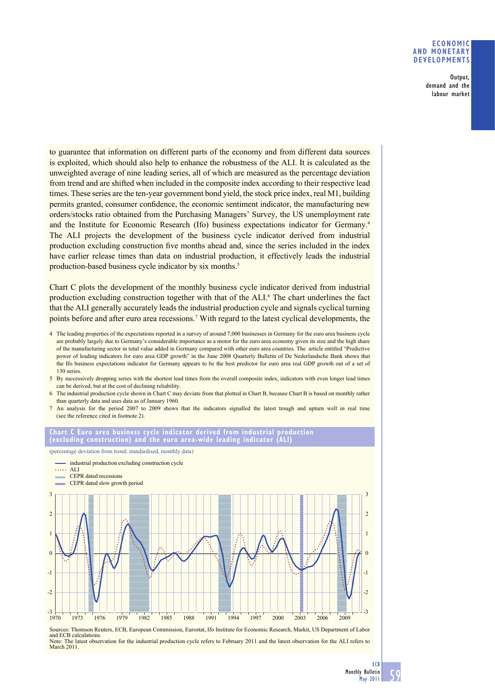# **ECONOMIC AND MONETARY DEVELOPMENTS**

Output, demand and the labour market

to guarantee that information on different parts of the economy and from different data sources is exploited, which should also help to enhance the robustness of the ALI. It is calculated as the unweighted average of nine leading series, all of which are measured as the percentage deviation from trend and are shifted when included in the composite index according to their respective lead times. These series are the ten-year government bond yield, the stock price index, real M1, building permits granted, consumer confidence, the economic sentiment indicator, the manufacturing new orders/stocks ratio obtained from the Purchasing Managers' Survey, the US unemployment rate and the Institute for Economic Research (Ifo) business expectations indicator for Germany.4 The ALI projects the development of the business cycle indicator derived from industrial production excluding construction five months ahead and, since the series included in the index have earlier release times than data on industrial production, it effectively leads the industrial production-based business cycle indicator by six months.<sup>5</sup>

Chart C plots the development of the monthly business cycle indicator derived from industrial production excluding construction together with that of the ALI.<sup>6</sup> The chart underlines the fact that the ALI generally accurately leads the industrial production cycle and signals cyclical turning points before and after euro area recessions.<sup>7</sup> With regard to the latest cyclical developments, the

- 4 The leading properties of the expectations reported in a survey of around 7,000 businesses in Germany for the euro area business cycle are probably largely due to Germany's considerable importance as a motor for the euro area economy given its size and the high share of the manufacturing sector in total value added in Germany compared with other euro area countries. The article entitled "Predictive power of leading indicators for euro area GDP growth" in the June 2008 Quarterly Bulletin of De Nederlandsche Bank shows that the Ifo business expectations indicator for Germany appears to be the best predictor for euro area real GDP growth out of a set of 130 series.
- 5 By successively dropping series with the shortest lead times from the overall composite index, indicators with even longer lead times can be derived, but at the cost of declining reliability.
- 6 The industrial production cycle shown in Chart C may deviate from that plotted in Chart B, because Chart B is based on monthly rather than quarterly data and uses data as of January 1960.
- 7 An analysis for the period 2007 to 2009 shows that the indicators signalled the latest trough and upturn well in real time (see the reference cited in footnote 2).

### **Chart C Euro area business cycle indicator derived from industrial production**  (excluding construction) and the euro area-wide leading indicator

(percentage deviation from trend; standardised, monthly data)



Sources: Thomson Reuters, ECB, European Commission, Eurostat, Ifo Institute for Economic Research, Markit, US Department of Labor and ECB calculations. The latest observation for the industrial production cycle refers to February 2011 and the latest observation for the ALI refers to March 2011.